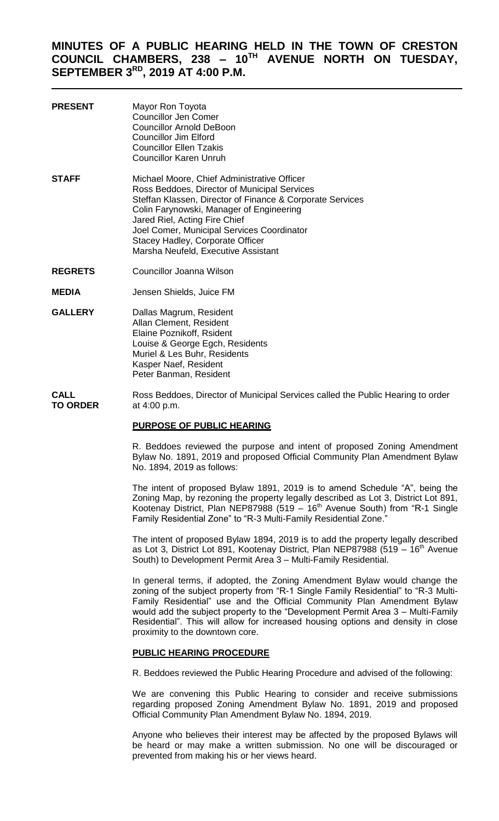# **MINUTES OF A PUBLIC HEARING HELD IN THE TOWN OF CRESTON COUNCIL CHAMBERS, 238 – 10TH AVENUE NORTH ON TUESDAY, SEPTEMBER 3RD, 2019 AT 4:00 P.M.**

| <b>PRESENT</b> | Mayor Ron Toyota<br><b>Councillor Jen Comer</b><br><b>Councillor Arnold DeBoon</b><br>Councillor Jim Elford<br><b>Councillor Ellen Tzakis</b><br><b>Councillor Karen Unruh</b>                                                                                                                                                                                 |
|----------------|----------------------------------------------------------------------------------------------------------------------------------------------------------------------------------------------------------------------------------------------------------------------------------------------------------------------------------------------------------------|
| <b>STAFF</b>   | Michael Moore, Chief Administrative Officer<br>Ross Beddoes, Director of Municipal Services<br>Steffan Klassen, Director of Finance & Corporate Services<br>Colin Farynowski, Manager of Engineering<br>Jared Riel, Acting Fire Chief<br>Joel Comer, Municipal Services Coordinator<br>Stacey Hadley, Corporate Officer<br>Marsha Neufeld, Executive Assistant |

- **REGRETS** Councillor Joanna Wilson
- **MEDIA** Jensen Shields, Juice FM
- **GALLERY** Dallas Magrum, Resident Allan Clement, Resident Elaine Poznikoff, Rsident Louise & George Egch, Residents Muriel & Les Buhr, Residents Kasper Naef, Resident Peter Banman, Resident

**CALL** Ross Beddoes, Director of Municipal Services called the Public Hearing to order **TO ORDER** at 4:00 p.m.

## **PURPOSE OF PUBLIC HEARING**

R. Beddoes reviewed the purpose and intent of proposed Zoning Amendment Bylaw No. 1891, 2019 and proposed Official Community Plan Amendment Bylaw No. 1894, 2019 as follows:

The intent of proposed Bylaw 1891, 2019 is to amend Schedule "A", being the Zoning Map, by rezoning the property legally described as Lot 3, District Lot 891, Kootenay District, Plan NEP87988 (519 – 16<sup>th</sup> Avenue South) from "R-1 Single Family Residential Zone" to "R-3 Multi-Family Residential Zone.

The intent of proposed Bylaw 1894, 2019 is to add the property legally described as Lot 3, District Lot 891, Kootenay District, Plan NEP87988 (519 – 16<sup>th</sup> Avenue South) to Development Permit Area 3 – Multi-Family Residential.

In general terms, if adopted, the Zoning Amendment Bylaw would change the zoning of the subject property from "R-1 Single Family Residential" to "R-3 Multi-Family Residential" use and the Official Community Plan Amendment Bylaw would add the subject property to the "Development Permit Area 3 – Multi-Family Residential". This will allow for increased housing options and density in close proximity to the downtown core.

## **PUBLIC HEARING PROCEDURE**

R. Beddoes reviewed the Public Hearing Procedure and advised of the following:

We are convening this Public Hearing to consider and receive submissions regarding proposed Zoning Amendment Bylaw No. 1891, 2019 and proposed Official Community Plan Amendment Bylaw No. 1894, 2019.

Anyone who believes their interest may be affected by the proposed Bylaws will be heard or may make a written submission. No one will be discouraged or prevented from making his or her views heard.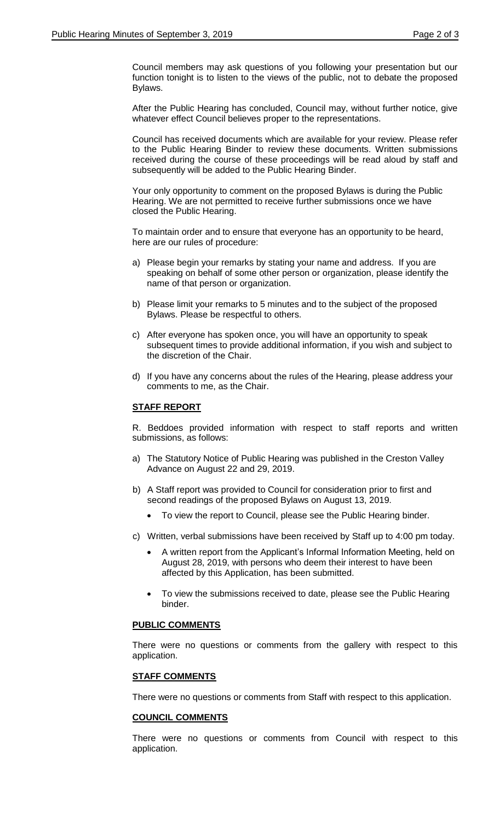Council members may ask questions of you following your presentation but our function tonight is to listen to the views of the public, not to debate the proposed Bylaws.

After the Public Hearing has concluded, Council may, without further notice, give whatever effect Council believes proper to the representations.

Council has received documents which are available for your review. Please refer to the Public Hearing Binder to review these documents. Written submissions received during the course of these proceedings will be read aloud by staff and subsequently will be added to the Public Hearing Binder.

Your only opportunity to comment on the proposed Bylaws is during the Public Hearing. We are not permitted to receive further submissions once we have closed the Public Hearing.

To maintain order and to ensure that everyone has an opportunity to be heard, here are our rules of procedure:

- a) Please begin your remarks by stating your name and address. If you are speaking on behalf of some other person or organization, please identify the name of that person or organization.
- b) Please limit your remarks to 5 minutes and to the subject of the proposed Bylaws. Please be respectful to others.
- c) After everyone has spoken once, you will have an opportunity to speak subsequent times to provide additional information, if you wish and subject to the discretion of the Chair.
- d) If you have any concerns about the rules of the Hearing, please address your comments to me, as the Chair.

# **STAFF REPORT**

R. Beddoes provided information with respect to staff reports and written submissions, as follows:

- a) The Statutory Notice of Public Hearing was published in the Creston Valley Advance on August 22 and 29, 2019.
- b) A Staff report was provided to Council for consideration prior to first and second readings of the proposed Bylaws on August 13, 2019.
	- To view the report to Council, please see the Public Hearing binder.
- c) Written, verbal submissions have been received by Staff up to 4:00 pm today.
	- A written report from the Applicant's Informal Information Meeting, held on August 28, 2019, with persons who deem their interest to have been affected by this Application, has been submitted.
	- To view the submissions received to date, please see the Public Hearing binder.

# **PUBLIC COMMENTS**

There were no questions or comments from the gallery with respect to this application.

## **STAFF COMMENTS**

There were no questions or comments from Staff with respect to this application.

## **COUNCIL COMMENTS**

There were no questions or comments from Council with respect to this application.